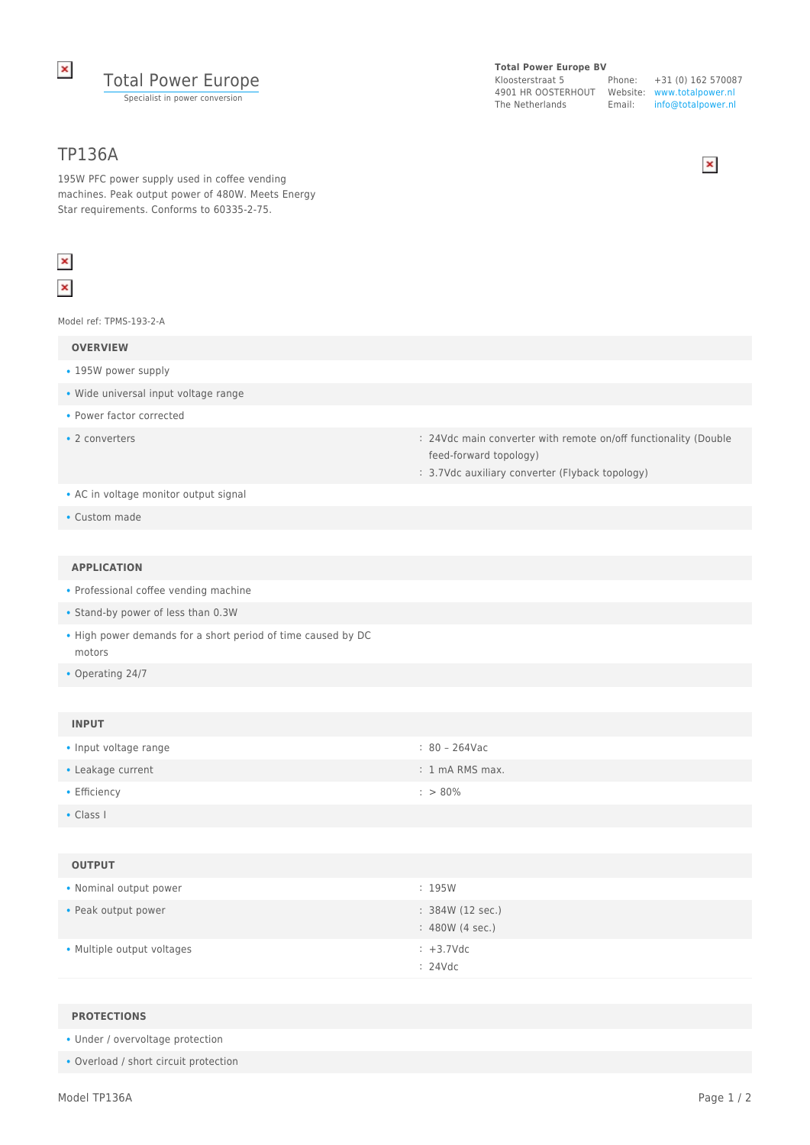

# TP136A

**Total Power Europe BV** Kloosterstraat 5

4901 HR OOSTERHOUT Website: www.totalpower.nl The Netherlands Email:

Phone: +31 (0) 162 570087 info@totalpower.nl



195W PFC power supply used in coffee vending machines. Peak output power of 480W. Meets Energy Star requirements. Conforms to 60335-2-75.

# $\pmb{\times}$  $\pmb{\times}$

Model ref: TPMS-193-2-A

#### **OVERVIEW**

- 195W power supply
- Wide universal input voltage range
- Power factor corrected
- 
- 2 converters **and the converters** : 24Vdc main converter with remote on/off functionality (Double feed-forward topology)
	- : 3.7Vdc auxiliary converter (Flyback topology)

- AC in voltage monitor output signal
- Custom made

### **APPLICATION**

- Professional coffee vending machine
- Stand-by power of less than 0.3W
- High power demands for a short period of time caused by DC motors
- Operating 24/7

## **INPUT**

| • Input voltage range | : 80 – 264Vac             |
|-----------------------|---------------------------|
| • Leakage current     | $: 1 \text{ mA RMS max.}$ |
| $\bullet$ Efficiency  | $: > 80\%$                |

• Class I

### **OUTPUT**

| • Nominal output power     | : 195W                              |
|----------------------------|-------------------------------------|
| • Peak output power        | : 384W (12 sec.)<br>: 480W (4 sec.) |
| • Multiple output voltages | $\div$ +3.7Vdc<br>: 24Vdc           |

#### **PROTECTIONS**

• Under / overvoltage protection

• Overload / short circuit protection